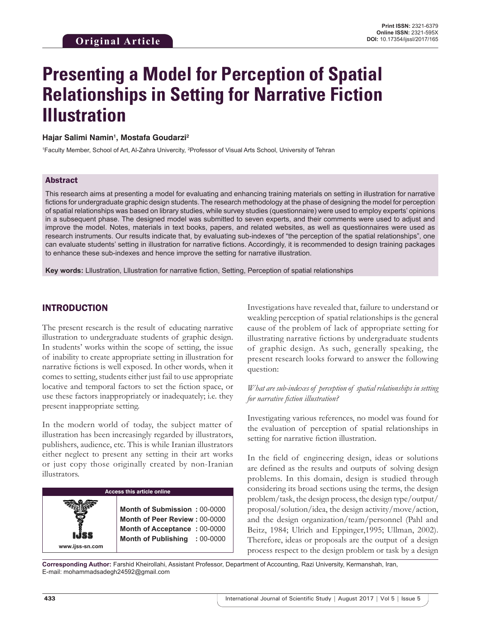# **Presenting a Model for Perception of Spatial Relationships in Setting for Narrative Fiction Illustration**

## **Hajar Salimi Namin1 , Mostafa Goudarzi2**

<sup>1</sup> Faculty Member, School of Art, Al-Zahra Univercity, <sup>2</sup> Professor of Visual Arts School, University of Tehran

#### Abstract

This research aims at presenting a model for evaluating and enhancing training materials on setting in illustration for narrative fictions for undergraduate graphic design students. The research methodology at the phase of designing the model for perception of spatial relationships was based on library studies, while survey studies (questionnaire) were used to employ experts' opinions in a subsequent phase. The designed model was submitted to seven experts, and their comments were used to adjust and improve the model. Notes, materials in text books, papers, and related websites, as well as questionnaires were used as research instruments. Our results indicate that, by evaluating sub-indexes of "the perception of the spatial relationships", one can evaluate students' setting in illustration for narrative fictions. Accordingly, it is recommended to design training packages to enhance these sub-indexes and hence improve the setting for narrative illustration.

**Key words:** Lllustration, Lllustration for narrative fiction, Setting, Perception of spatial relationships

# INTRODUCTION

The present research is the result of educating narrative illustration to undergraduate students of graphic design. In students' works within the scope of setting, the issue of inability to create appropriate setting in illustration for narrative fictions is well exposed. In other words, when it comes to setting, students either just fail to use appropriate locative and temporal factors to set the fiction space, or use these factors inappropriately or inadequately; i.e. they present inappropriate setting.

In the modern world of today, the subject matter of illustration has been increasingly regarded by illustrators, publishers, audience, etc. This is while Iranian illustrators either neglect to present any setting in their art works or just copy those originally created by non-Iranian illustrators.

# **Access this article online**

**Month of Submission :** 00-0000 **Month of Peer Review :** 00-0000 **Month of Acceptance :** 00-0000 **Month of Publishing :** 00-0000 Investigations have revealed that, failure to understand or weakling perception of spatial relationships is the general cause of the problem of lack of appropriate setting for illustrating narrative fictions by undergraduate students of graphic design. As such, generally speaking, the present research looks forward to answer the following question:

## *What are sub-indexes of perception of spatial relationships in setting for narrative fiction illustration?*

Investigating various references, no model was found for the evaluation of perception of spatial relationships in setting for narrative fiction illustration.

In the field of engineering design, ideas or solutions are defined as the results and outputs of solving design problems. In this domain, design is studied through considering its broad sections using the terms, the design problem/task, the design process, the design type/output/ proposal/solution/idea, the design activity/move/action, and the design organization/team/personnel (Pahl and Beitz, 1984; Ulrich and Eppinger,1995; Ullman, 2002). Therefore, ideas or proposals are the output of a design process respect to the design problem or task by a design

**Corresponding Author:** Farshid Kheirollahi, Assistant Professor, Department of Accounting, Razi University, Kermanshah, Iran, E-mail: mohammadsadegh24592@gmail.com

**www.ijss-sn.com**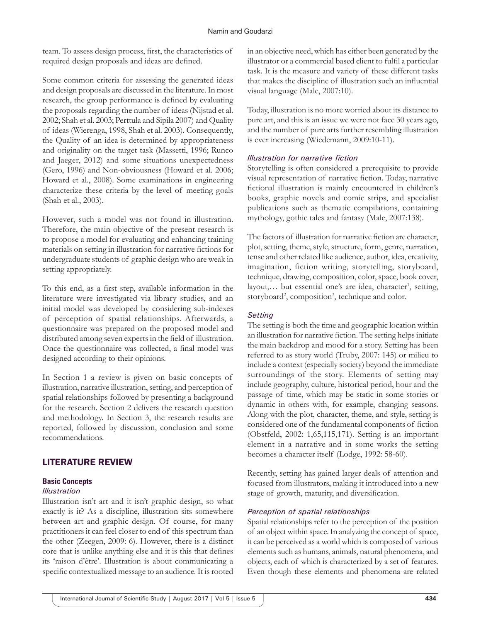team. To assess design process, first, the characteristics of required design proposals and ideas are defined.

Some common criteria for assessing the generated ideas and design proposals are discussed in the literature. In most research, the group performance is defined by evaluating the proposals regarding the number of ideas (Nijstad et al. 2002; Shah et al. 2003; Perttula and Sipila 2007) and Quality of ideas (Wierenga, 1998, Shah et al. 2003). Consequently, the Quality of an idea is determined by appropriateness and originality on the target task (Massetti, 1996; Runco and Jaeger, 2012) and some situations unexpectedness (Gero, 1996) and Non-obviousness (Howard et al. 2006; Howard et al., 2008). Some examinations in engineering characterize these criteria by the level of meeting goals (Shah et al., 2003).

However, such a model was not found in illustration. Therefore, the main objective of the present research is to propose a model for evaluating and enhancing training materials on setting in illustration for narrative fictions for undergraduate students of graphic design who are weak in setting appropriately.

To this end, as a first step, available information in the literature were investigated via library studies, and an initial model was developed by considering sub-indexes of perception of spatial relationships. Afterwards, a questionnaire was prepared on the proposed model and distributed among seven experts in the field of illustration. Once the questionnaire was collected, a final model was designed according to their opinions.

In Section 1 a review is given on basic concepts of illustration, narrative illustration, setting, and perception of spatial relationships followed by presenting a background for the research. Section 2 delivers the research question and methodology. In Section 3, the research results are reported, followed by discussion, conclusion and some recommendations.

# LITERATURE REVIEW

# **Basic Concepts**

# *Illustration*

Illustration isn't art and it isn't graphic design, so what exactly is it? As a discipline, illustration sits somewhere between art and graphic design. Of course, for many practitioners it can feel closer to end of this spectrum than the other (Zeegen, 2009: 6). However, there is a distinct core that is unlike anything else and it is this that defines its 'raison d'être'. Illustration is about communicating a specific contextualized message to an audience. It is rooted in an objective need, which has either been generated by the illustrator or a commercial based client to fulfil a particular task. It is the measure and variety of these different tasks that makes the discipline of illustration such an influential visual language (Male, 2007:10).

Today, illustration is no more worried about its distance to pure art, and this is an issue we were not face 30 years ago, and the number of pure arts further resembling illustration is ever increasing (Wiedemann, 2009:10-11).

# *Illustration for narrative fiction*

Storytelling is often considered a prerequisite to provide visual representation of narrative fiction. Today, narrative fictional illustration is mainly encountered in children's books, graphic novels and comic strips, and specialist publications such as thematic compilations, containing mythology, gothic tales and fantasy (Male, 2007:138).

The factors of illustration for narrative fiction are character, plot, setting, theme, style, structure, form, genre, narration, tense and other related like audience, author, idea, creativity, imagination, fiction writing, storytelling, storyboard, technique, drawing, composition, color, space, book cover, layout,... but essential one's are idea, character<sup>1</sup>, setting, storyboard<sup>2</sup>, composition<sup>3</sup>, technique and color.

# *Setting*

The setting is both the time and geographic location within an illustration for narrative fiction. The setting helps initiate the main backdrop and mood for a story. Setting has been referred to as story world (Truby, 2007: 145) or milieu to include a context (especially society) beyond the immediate surroundings of the story. Elements of setting may include geography, culture, historical period, hour and the passage of time, which may be static in some stories or dynamic in others with, for example, changing seasons. Along with the plot, character, theme, and style, setting is considered one of the fundamental components of fiction (Obstfeld, 2002: 1,65,115,171). Setting is an important element in a narrative and in some works the setting becomes a character itself (Lodge, 1992: 58-60).

Recently, setting has gained larger deals of attention and focused from illustrators, making it introduced into a new stage of growth, maturity, and diversification.

# *Perception of spatial relationships*

Spatial relationships refer to the perception of the position of an object within space. In analyzing the concept of space, it can be perceived as a world which is composed of various elements such as humans, animals, natural phenomena, and objects, each of which is characterized by a set of features. Even though these elements and phenomena are related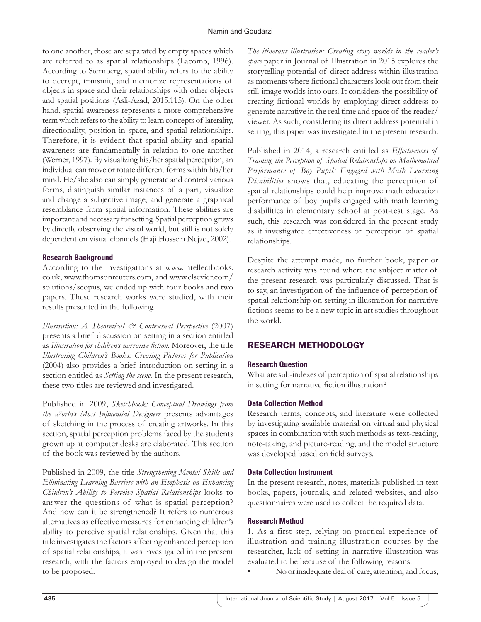to one another, those are separated by empty spaces which are referred to as spatial relationships (Lacomb, 1996). According to Sternberg, spatial ability refers to the ability to decrypt, transmit, and memorize representations of objects in space and their relationships with other objects and spatial positions (Asli-Azad, 2015:115). On the other hand, spatial awareness represents a more comprehensive term which refers to the ability to learn concepts of laterality, directionality, position in space, and spatial relationships. Therefore, it is evident that spatial ability and spatial awareness are fundamentally in relation to one another (Werner, 1997). By visualizing his/her spatial perception, an individual can move or rotate different forms within his/her mind. He/she also can simply generate and control various forms, distinguish similar instances of a part, visualize and change a subjective image, and generate a graphical resemblance from spatial information. These abilities are important and necessary for setting. Spatial perception grows by directly observing the visual world, but still is not solely dependent on visual channels (Haji Hossein Nejad, 2002).

## **Research Background**

According to the investigations at www.intellectbooks. co.uk, www.thomsonreuters.com, and www.elsevier.com/ solutions/scopus, we ended up with four books and two papers. These research works were studied, with their results presented in the following.

*Illustration: A Theoretical & Contextual Perspective* (2007) presents a brief discussion on setting in a section entitled as *Illustration for children's narrative fiction*. Moreover, the title *Illustrating Children's Books: Creating Pictures for Publication* (2004) also provides a brief introduction on setting in a section entitled as *Setting the scene*. In the present research, these two titles are reviewed and investigated.

Published in 2009, *Sketchbook: Conceptual Drawings from the World's Most Influential Designers* presents advantages of sketching in the process of creating artworks. In this section, spatial perception problems faced by the students grown up at computer desks are elaborated. This section of the book was reviewed by the authors.

Published in 2009, the title *Strengthening Mental Skills and Eliminating Learning Barriers with an Emphasis on Enhancing Children's Ability to Perceive Spatial Relationships* looks to answer the questions of what is spatial perception? And how can it be strengthened? It refers to numerous alternatives as effective measures for enhancing children's ability to perceive spatial relationships. Given that this title investigates the factors affecting enhanced perception of spatial relationships, it was investigated in the present research, with the factors employed to design the model to be proposed.

*The itinerant illustration: Creating story worlds in the reader's space* paper in Journal of Illustration in 2015 explores the storytelling potential of direct address within illustration as moments where fictional characters look out from their still-image worlds into ours. It considers the possibility of creating fictional worlds by employing direct address to generate narrative in the real time and space of the reader/ viewer. As such, considering its direct address potential in setting, this paper was investigated in the present research.

Published in 2014, a research entitled as *Effectiveness of Training the Perception of Spatial Relationships on Mathematical Performance of Boy Pupils Engaged with Math Learning Disabilities* shows that, educating the perception of spatial relationships could help improve math education performance of boy pupils engaged with math learning disabilities in elementary school at post-test stage. As such, this research was considered in the present study as it investigated effectiveness of perception of spatial relationships.

Despite the attempt made, no further book, paper or research activity was found where the subject matter of the present research was particularly discussed. That is to say, an investigation of the influence of perception of spatial relationship on setting in illustration for narrative fictions seems to be a new topic in art studies throughout the world.

# RESEARCH METHODOLOGY

# **Research Question**

What are sub-indexes of perception of spatial relationships in setting for narrative fiction illustration?

#### **Data Collection Method**

Research terms, concepts, and literature were collected by investigating available material on virtual and physical spaces in combination with such methods as text-reading, note-taking, and picture-reading, and the model structure was developed based on field surveys.

#### **Data Collection Instrument**

In the present research, notes, materials published in text books, papers, journals, and related websites, and also questionnaires were used to collect the required data.

#### **Research Method**

1. As a first step, relying on practical experience of illustration and training illustration courses by the researcher, lack of setting in narrative illustration was evaluated to be because of the following reasons:

• No or inadequate deal of care, attention, and focus;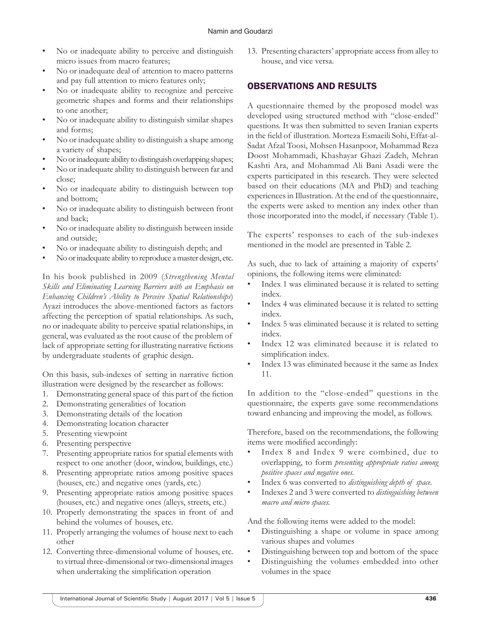- No or inadequate ability to perceive and distinguish micro issues from macro features;
- No or inadequate deal of attention to macro patterns and pay full attention to micro features only;
- No or inadequate ability to recognize and perceive geometric shapes and forms and their relationships to one another;
- No or inadequate ability to distinguish similar shapes and forms;
- No or inadequate ability to distinguish a shape among a variety of shapes;
- No or inadequate ability to distinguish overlapping shapes;
- No or inadequate ability to distinguish between far and close;
- No or inadequate ability to distinguish between top and bottom;
- No or inadequate ability to distinguish between front and back;
- No or inadequate ability to distinguish between inside and outside;
- No or inadequate ability to distinguish depth; and
- No or inadequate ability to reproduce a master design, etc.

In his book published in 2009 (*Strengthening Mental Skills and Eliminating Learning Barriers with an Emphasis on Enhancing Children's Ability to Perceive Spatial Relationships*) Ayazi introduces the above-mentioned factors as factors affecting the perception of spatial relationships. As such, no or inadequate ability to perceive spatial relationships, in general, was evaluated as the root cause of the problem of lack of appropriate setting for illustrating narrative fictions by undergraduate students of graphic design.

On this basis, sub-indexes of setting in narrative fiction illustration were designed by the researcher as follows:

- 1. Demonstrating general space of this part of the fiction
- 2. Demonstrating generalities of location
- 3. Demonstrating details of the location
- 4. Demonstrating location character
- 5. Presenting viewpoint
- 6. Presenting perspective
- 7. Presenting appropriate ratios for spatial elements with respect to one another (door, window, buildings, etc.)
- 8. Presenting appropriate ratios among positive spaces (houses, etc.) and negative ones (yards, etc.)
- 9. Presenting appropriate ratios among positive spaces (houses, etc.) and negative ones (alleys, streets, etc.)
- 10. Properly demonstrating the spaces in front of and behind the volumes of houses, etc.
- 11. Properly arranging the volumes of house next to each other
- 12. Converting three-dimensional volume of houses, etc. to virtual three-dimensional or two-dimensional images when undertaking the simplification operation

13. Presenting characters' appropriate access from alley to house, and vice versa.

# OBSERVATIONS AND RESULTS

A questionnaire themed by the proposed model was developed using structured method with "close-ended" questions. It was then submitted to seven Iranian experts in the field of illustration. Morteza Esmaeili Sohi, Effat-al-Sadat Afzal Toosi, Mohsen Hasanpoor, Mohammad Reza Doost Mohammadi, Khashayar Ghazi Zadeh, Mehran Kashti Ara, and Mohammad Ali Bani Asadi were the experts participated in this research. They were selected based on their educations (MA and PhD) and teaching experiences in Illustration. At the end of the questionnaire, the experts were asked to mention any index other than those incorporated into the model, if necessary (Table 1).

The experts' responses to each of the sub-indexes mentioned in the model are presented in Table 2.

As such, due to lack of attaining a majority of experts' opinions, the following items were eliminated:

- Index 1 was eliminated because it is related to setting index.
- Index 4 was eliminated because it is related to setting index.
- Index 5 was eliminated because it is related to setting index.
- Index 12 was eliminated because it is related to simplification index.
- Index 13 was eliminated because it the same as Index 11.

In addition to the "close-ended" questions in the questionnaire, the experts gave some recommendations toward enhancing and improving the model, as follows.

Therefore, based on the recommendations, the following items were modified accordingly:

- Index 8 and Index 9 were combined, due to overlapping, to form *presenting appropriate ratios among positive spaces and negative ones.*
- Index 6 was converted to *distinguishing depth of space.*
- Indexes 2 and 3 were converted to *distinguishing between macro and micro spaces.*

And the following items were added to the model:

- Distinguishing a shape or volume in space among various shapes and volumes
- Distinguishing between top and bottom of the space
- Distinguishing the volumes embedded into other volumes in the space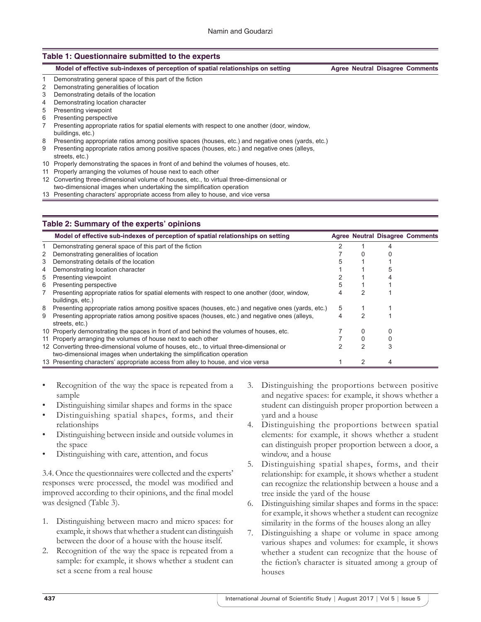#### **Table 1: Questionnaire submitted to the experts**

| Model of effective sub-indexes of perception of spatial relationships on setting |  | <b>Agree Neutral Disagree Comments</b> |
|----------------------------------------------------------------------------------|--|----------------------------------------|
| Demonstrating general space of this part of the fiction                          |  |                                        |
| Demonstrating generalities of location                                           |  |                                        |
| Demonstrating details of the location                                            |  |                                        |

- 4 Demonstrating location character
- 5 Presenting viewpoint
- 6 Presenting perspective
- Presenting appropriate ratios for spatial elements with respect to one another (door, window, 7 buildings, etc.)
- 8 Presenting appropriate ratios among positive spaces (houses, etc.) and negative ones (yards, etc.)
- Presenting appropriate ratios among positive spaces (houses, etc.) and negative ones (alleys, 9
- streets, etc.) 10 Properly demonstrating the spaces in front of and behind the volumes of houses, etc.
- 11 Properly arranging the volumes of house next to each other
- Converting three-dimensional volume of houses, etc., to virtual three-dimensional or 12
- two‑dimensional images when undertaking the simplification operation
- 13 Presenting characters' appropriate access from alley to house, and vice versa

#### **Table 2: Summary of the experts' opinions**

|   | Model of effective sub-indexes of perception of spatial relationships on setting                                                                                |   |   | <b>Agree Neutral Disagree Comments</b> |
|---|-----------------------------------------------------------------------------------------------------------------------------------------------------------------|---|---|----------------------------------------|
|   | Demonstrating general space of this part of the fiction                                                                                                         |   |   |                                        |
| 2 | Demonstrating generalities of location                                                                                                                          |   |   |                                        |
| 3 | Demonstrating details of the location                                                                                                                           |   |   |                                        |
| 4 | Demonstrating location character                                                                                                                                |   |   |                                        |
| 5 | Presenting viewpoint                                                                                                                                            |   |   |                                        |
| 6 | Presenting perspective                                                                                                                                          |   |   |                                        |
|   | Presenting appropriate ratios for spatial elements with respect to one another (door, window,<br>buildings, etc.)                                               |   |   |                                        |
| 8 | Presenting appropriate ratios among positive spaces (houses, etc.) and negative ones (yards, etc.)                                                              | 5 |   |                                        |
| 9 | Presenting appropriate ratios among positive spaces (houses, etc.) and negative ones (alleys,<br>streets, etc.)                                                 | 4 |   |                                        |
|   | 10 Properly demonstrating the spaces in front of and behind the volumes of houses, etc.                                                                         |   | 0 |                                        |
|   | 11 Properly arranging the volumes of house next to each other                                                                                                   |   |   |                                        |
|   | 12 Converting three-dimensional volume of houses, etc., to virtual three-dimensional or<br>two-dimensional images when undertaking the simplification operation |   | 2 |                                        |
|   | 13 Presenting characters' appropriate access from alley to house, and vice versa                                                                                |   | 2 |                                        |

- Recognition of the way the space is repeated from a sample
- Distinguishing similar shapes and forms in the space
- Distinguishing spatial shapes, forms, and their relationships
- Distinguishing between inside and outside volumes in the space
- Distinguishing with care, attention, and focus

3.4. Once the questionnaires were collected and the experts' responses were processed, the model was modified and improved according to their opinions, and the final model was designed (Table 3).

- 1. Distinguishing between macro and micro spaces: for example, it shows that whether a student can distinguish between the door of a house with the house itself.
- 2. Recognition of the way the space is repeated from a sample: for example, it shows whether a student can set a scene from a real house
- 3. Distinguishing the proportions between positive and negative spaces: for example, it shows whether a student can distinguish proper proportion between a yard and a house
- 4. Distinguishing the proportions between spatial elements: for example, it shows whether a student can distinguish proper proportion between a door, a window, and a house
- 5. Distinguishing spatial shapes, forms, and their relationship: for example, it shows whether a student can recognize the relationship between a house and a tree inside the yard of the house
- 6. Distinguishing similar shapes and forms in the space: for example, it shows whether a student can recognize similarity in the forms of the houses along an alley
- 7. Distinguishing a shape or volume in space among various shapes and volumes: for example, it shows whether a student can recognize that the house of the fiction's character is situated among a group of houses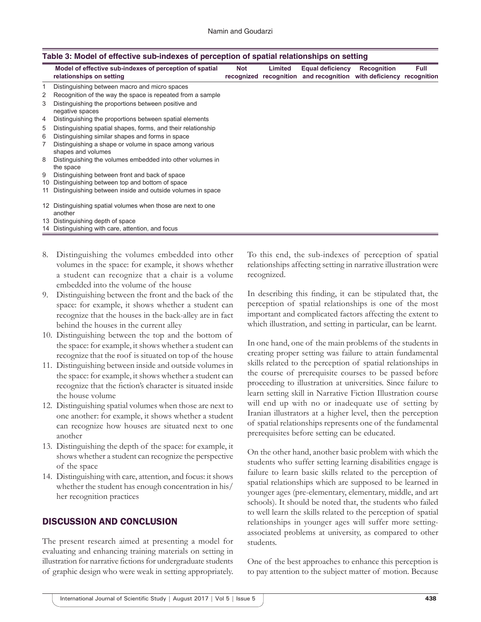| Table 5. MOdel of effective sub-indexes of perception of spatial relationships on setting |                                                                                     |     |                                   |                                                                        |                    |             |  |
|-------------------------------------------------------------------------------------------|-------------------------------------------------------------------------------------|-----|-----------------------------------|------------------------------------------------------------------------|--------------------|-------------|--|
|                                                                                           | Model of effective sub-indexes of perception of spatial<br>relationships on setting | Not | Limited<br>recognized recognition | <b>Equal deficiency</b><br>and recognition with deficiency recognition | <b>Recognition</b> | <b>Full</b> |  |
|                                                                                           | Distinguishing between macro and micro spaces                                       |     |                                   |                                                                        |                    |             |  |
| 2                                                                                         | Recognition of the way the space is repeated from a sample                          |     |                                   |                                                                        |                    |             |  |
| 3                                                                                         | Distinguishing the proportions between positive and<br>negative spaces              |     |                                   |                                                                        |                    |             |  |
| 4                                                                                         | Distinguishing the proportions between spatial elements                             |     |                                   |                                                                        |                    |             |  |
| 5                                                                                         | Distinguishing spatial shapes, forms, and their relationship                        |     |                                   |                                                                        |                    |             |  |
| 6                                                                                         | Distinguishing similar shapes and forms in space                                    |     |                                   |                                                                        |                    |             |  |
|                                                                                           | Distinguishing a shape or volume in space among various<br>shapes and volumes       |     |                                   |                                                                        |                    |             |  |
| 8                                                                                         | Distinguishing the volumes embedded into other volumes in<br>the space              |     |                                   |                                                                        |                    |             |  |
| 9                                                                                         | Distinguishing between front and back of space                                      |     |                                   |                                                                        |                    |             |  |
| 10                                                                                        | Distinguishing between top and bottom of space                                      |     |                                   |                                                                        |                    |             |  |
| 11                                                                                        | Distinguishing between inside and outside volumes in space                          |     |                                   |                                                                        |                    |             |  |
|                                                                                           | 12 Distinguishing spatial volumes when those are next to one<br>another             |     |                                   |                                                                        |                    |             |  |
|                                                                                           | 13 Distinguishing depth of space                                                    |     |                                   |                                                                        |                    |             |  |
|                                                                                           | 14 Distinguishing with care, attention, and focus                                   |     |                                   |                                                                        |                    |             |  |

# **Table 3: Model of effective sub‑indexes of perception of spatial relationships on setting**

- 8. Distinguishing the volumes embedded into other volumes in the space: for example, it shows whether a student can recognize that a chair is a volume embedded into the volume of the house
- 9. Distinguishing between the front and the back of the space: for example, it shows whether a student can recognize that the houses in the back-alley are in fact behind the houses in the current alley
- 10. Distinguishing between the top and the bottom of the space: for example, it shows whether a student can recognize that the roof is situated on top of the house
- 11. Distinguishing between inside and outside volumes in the space: for example, it shows whether a student can recognize that the fiction's character is situated inside the house volume
- 12. Distinguishing spatial volumes when those are next to one another: for example, it shows whether a student can recognize how houses are situated next to one another
- 13. Distinguishing the depth of the space: for example, it shows whether a student can recognize the perspective of the space
- 14. Distinguishing with care, attention, and focus: it shows whether the student has enough concentration in his/ her recognition practices

# DISCUSSION AND CONCLUSION

The present research aimed at presenting a model for evaluating and enhancing training materials on setting in illustration for narrative fictions for undergraduate students of graphic design who were weak in setting appropriately.

To this end, the sub-indexes of perception of spatial relationships affecting setting in narrative illustration were recognized.

In describing this finding, it can be stipulated that, the perception of spatial relationships is one of the most important and complicated factors affecting the extent to which illustration, and setting in particular, can be learnt.

In one hand, one of the main problems of the students in creating proper setting was failure to attain fundamental skills related to the perception of spatial relationships in the course of prerequisite courses to be passed before proceeding to illustration at universities. Since failure to learn setting skill in Narrative Fiction Illustration course will end up with no or inadequate use of setting by Iranian illustrators at a higher level, then the perception of spatial relationships represents one of the fundamental prerequisites before setting can be educated.

On the other hand, another basic problem with which the students who suffer setting learning disabilities engage is failure to learn basic skills related to the perception of spatial relationships which are supposed to be learned in younger ages (pre-elementary, elementary, middle, and art schools). It should be noted that, the students who failed to well learn the skills related to the perception of spatial relationships in younger ages will suffer more settingassociated problems at university, as compared to other students.

One of the best approaches to enhance this perception is to pay attention to the subject matter of motion. Because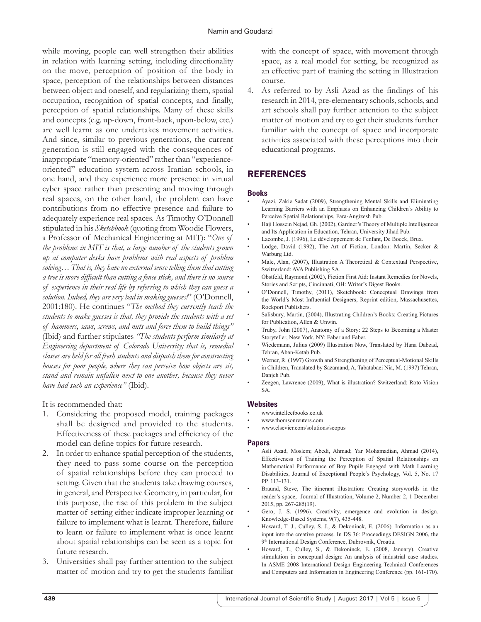while moving, people can well strengthen their abilities in relation with learning setting, including directionality on the move, perception of position of the body in space, perception of the relationships between distances between object and oneself, and regularizing them, spatial occupation, recognition of spatial concepts, and finally, perception of spatial relationships. Many of these skills and concepts (e.g. up-down, front-back, upon-below, etc.) are well learnt as one undertakes movement activities. And since, similar to previous generations, the current generation is still engaged with the consequences of inappropriate "memory-oriented" rather than "experienceoriented" education system across Iranian schools, in one hand, and they experience more presence in virtual cyber space rather than presenting and moving through real spaces, on the other hand, the problem can have contributions from no effective presence and failure to adequately experience real spaces. As Timothy O'Donnell stipulated in his *Sketchbook* (quoting from Woodie Flowers, a Professor of Mechanical Engineering at MIT): "*One of the problems in MIT is that, a large number of the students grown up at computer desks have problems with real aspects of problem solving… That is, they have no external sense telling them that cutting a tree is more difficult than cutting a fence stick, and there is no source of experience in their real life by referring to which they can guess a solution. Indeed, they are very bad in making guesses!*" (O'Donnell, 2001:180). He continues "*The method they currently teach the students to make guesses is that, they provide the students with a set of hammers, saws, screws, and nuts and force them to build things"*  (Ibid) and further stipulates *"The students perform similarly at Engineering department of Colorado University; that is, remedial classes are held for all fresh students and dispatch them for constructing houses for poor people, where they can perceive how objects are sit, stand and remain unfallen next to one another, because they never have had such an experience"* (Ibid).

It is recommended that:

- 1. Considering the proposed model, training packages shall be designed and provided to the students. Effectiveness of these packages and efficiency of the model can define topics for future research.
- 2. In order to enhance spatial perception of the students, they need to pass some course on the perception of spatial relationships before they can proceed to setting. Given that the students take drawing courses, in general, and Perspective Geometry, in particular, for this purpose, the rise of this problem in the subject matter of setting either indicate improper learning or failure to implement what is learnt. Therefore, failure to learn or failure to implement what is once learnt about spatial relationships can be seen as a topic for future research.
- 3. Universities shall pay further attention to the subject matter of motion and try to get the students familiar

with the concept of space, with movement through space, as a real model for setting, be recognized as an effective part of training the setting in Illustration course.

4. As referred to by Asli Azad as the findings of his research in 2014, pre-elementary schools, schools, and art schools shall pay further attention to the subject matter of motion and try to get their students further familiar with the concept of space and incorporate activities associated with these perceptions into their educational programs.

# REFERENCES

## **Books**

- Ayazi, Zakie Sadat (2009), Strengthening Mental Skills and Eliminating Learning Barriers with an Emphasis on Enhancing Children's Ability to Perceive Spatial Relationships, Fara-Angizesh Pub.
- Haji Hossein Nejad, Gh. (2002), Gardner's Theory of Multiple Intelligences and Its Application in Education, Tehran, University Jihad Pub.
- Lacombe, J. (1996), Le développement de l'enfant, De Boeck, Brux.
- Lodge, David (1992), The Art of Fiction, London: Martin, Secker & Warburg Ltd.
- Male, Alan, (2007), Illustration A Theoretical  $&$  Contextual Perspective, Switzerland: AVA Publishing SA.
- Obstfeld, Raymond (2002), Fiction First Aid: Instant Remedies for Novels, Stories and Scripts, Cincinnati, OH: Writer's Digest Books.
- O'Donnell, Timothy, (2011), Sketchbook: Conceptual Drawings from the World's Most Influential Designers, Reprint edition, Massachusettes, Rockport Publishers.
- Salisbury, Martin, (2004), Illustrating Children's Books: Creating Pictures for Publication, Allen & Unwin.
- Truby, John (2007), Anatomy of a Story: 22 Steps to Becoming a Master Storyteller, New York, NY: Faber and Faber.
- Wiedemann, Julius (2009) Illustration Now, Translated by Hana Dabzad, Tehran, Aban-Ketab Pub.
- Werner, R. (1997) Growth and Strengthening of Perceptual-Motional Skills in Children, Translated by Sazamand, A, Tabatabaei Nia, M. (1997) Tehran, Danjeh Pub.
- Zeegen, Lawrence (2009), What is illustration? Switzerland: Roto Vision SA.

#### **Websites**

- www.intellectbooks.co.uk
- www.thomsonreuters.com
- • www.elsevier.com/solutions/scopus

#### **Papers**

- Asli Azad, Moslem; Abedi, Ahmad; Yar Mohamadian, Ahmad (2014), Effectiveness of Training the Perception of Spatial Relationships on Mathematical Performance of Boy Pupils Engaged with Math Learning Disabilities, Journal of Exceptional People's Psychology, Vol. 5, No. 17 PP. 113-131.
- Braund, Steve, The itinerant illustration: Creating storyworlds in the reader's space, Journal of Illustration, Volume 2, Number 2, 1 December 2015, pp. 267-285(19).
- Gero, J. S. (1996). Creativity, emergence and evolution in design. Knowledge-Based Systems, 9(7), 435-448.
- Howard, T. J., Culley, S. J., & Dekoninck, E. (2006). Information as an input into the creative process. In DS 36: Proceedings DESIGN 2006, the 9<sup>th</sup> International Design Conference, Dubrovnik, Croatia.
- Howard, T., Culley, S., & Dekoninck, E. (2008, January). Creative stimulation in conceptual design: An analysis of industrial case studies. In ASME 2008 International Design Engineering Technical Conferences and Computers and Information in Engineering Conference (pp. 161-170).